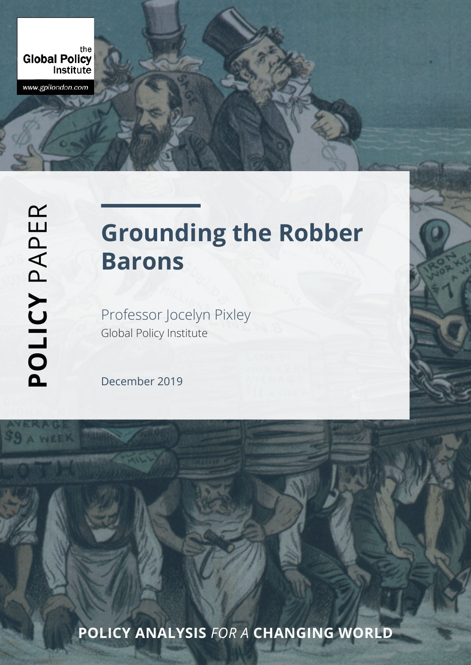the<br>Global Policy Institute

www.gpilondon.com

# **Grounding the Robber Barons**

Professor Jocelyn Pixley Global Policy Institute

December 2019

**POLICY ANALYSIS** *FOR A* **CHANGING WORLD**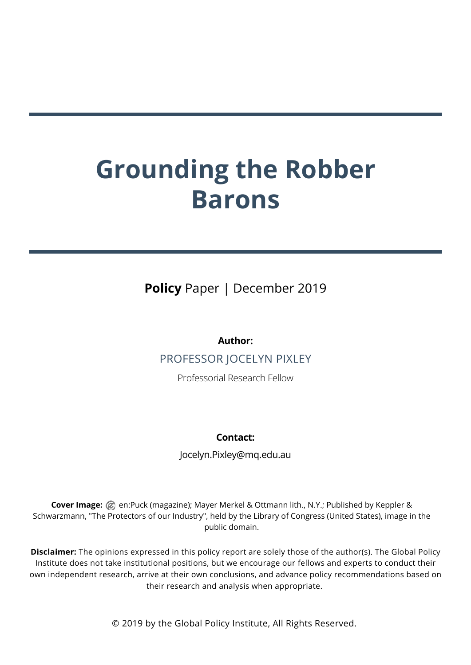# **Grounding the Robber Barons**

**Policy** Paper | December 2019

## **Author:**

PROFESSOR JOCELYN PIXLEY

Professorial Research Fellow

## **Contact:**

Jocelyn.Pixley@mq.edu.au

**Cover Image:** @ en:Puck (magazine); Mayer Merkel & Ottmann lith., N.Y.; Published by Keppler & Schwarzmann, "The Protectors of our Industry", held by the Library of Congress (United States), image in the public domain.

**Disclaimer:** The opinions expressed in this policy report are solely those of the author(s). The Global Policy Institute does not take institutional positions, but we encourage our fellows and experts to conduct their own independent research, arrive at their own conclusions, and advance policy recommendations based on their research and analysis when appropriate.

© 2019 by the Global Policy Institute, All Rights Reserved.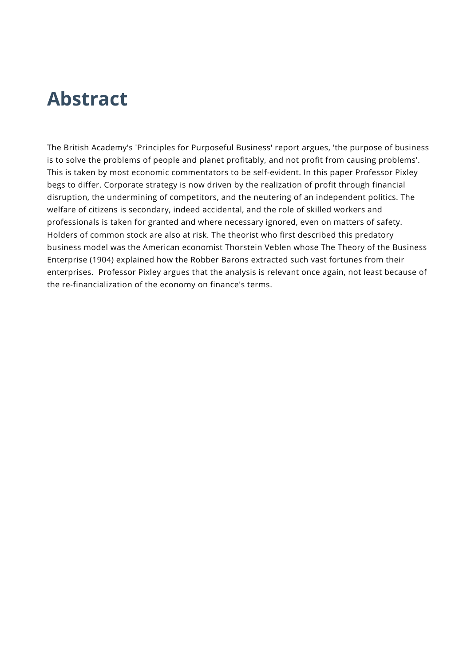## **Abstract**

The British Academy's 'Principles for Purposeful Business' report argues, 'the purpose of business is to solve the problems of people and planet profitably, and not profit from causing problems'. This is taken by most economic commentators to be self-evident. In this paper Professor Pixley begs to differ. Corporate strategy is now driven by the realization of profit through financial disruption, the undermining of competitors, and the neutering of an independent politics. The welfare of citizens is secondary, indeed accidental, and the role of skilled workers and professionals is taken for granted and where necessary ignored, even on matters of safety. Holders of common stock are also at risk. The theorist who first described this predatory business model was the American economist Thorstein Veblen whose The Theory of the Business Enterprise (1904) explained how the Robber Barons extracted such vast fortunes from their enterprises. Professor Pixley argues that the analysis is relevant once again, not least because of the re-financialization of the economy on finance's terms.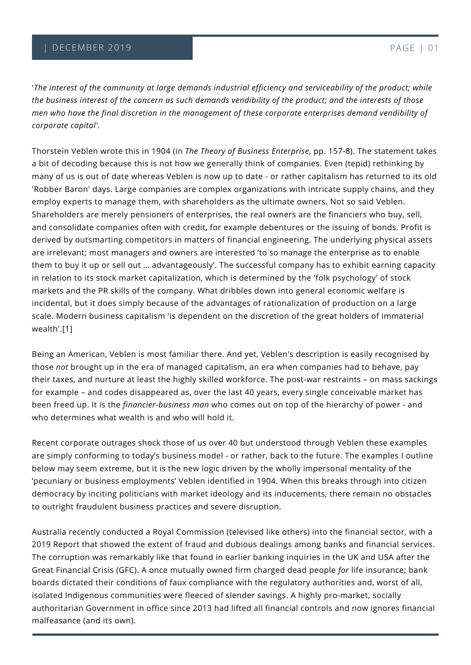'*The interest of the community at large demands industrial efficiency and serviceability of the product; while the business interest of the concern as such demands vendibility of the product; and the interests of those men who have the final discretion in the management of these corporate enterprises demand vendibility of corporate capital'.* 

Thorstein Veblen wrote this in 1904 (in *The Theory of Business Enterprise*, pp. 157-8). The statement takes a bit of decoding because this is not how we generally think of companies. Even (tepid) rethinking by many of us is out of date whereas Veblen is now up to date - or rather capitalism has returned to its old 'Robber Baron' days. Large companies are complex organizations with intricate supply chains, and they employ experts to manage them, with shareholders as the ultimate owners. Not so said Veblen. Shareholders are merely pensioners of enterprises, the real owners are the financiers who buy, sell, and consolidate companies often with credit, for example debentures or the issuing of bonds. Profit is derived by outsmarting competitors in matters of financial engineering. The underlying physical assets are irrelevant; most managers and owners are interested 'to so manage the enterprise as to enable them to buy it up or sell out … advantageously'. The successful company has to exhibit earning capacity in relation to its stock market capitalization, which is determined by the 'folk psychology' of stock markets and the PR skills of the company. What dribbles down into general economic welfare is incidental, but it does simply because of the advantages of rationalization of production on a large scale. Modern business capitalism 'is dependent on the discretion of the great holders of immaterial wealth'.[1]

Being an American, Veblen is most familiar there. And yet, Veblen's description is easily recognised by those *not* brought up in the era of managed capitalism, an era when companies had to behave, pay their taxes, and nurture at least the highly skilled workforce. The post-war restraints – on mass sackings for example – and codes disappeared as, over the last 40 years, every single conceivable market has been freed up. It is the *financier-business man* who comes out on top of the hierarchy of power - and who determines what wealth is and who will hold it.

Recent corporate outrages shock those of us over 40 but understood through Veblen these examples are simply conforming to today's business model - or rather, back to the future. The examples I outline below may seem extreme, but it is the new logic driven by the wholly impersonal mentality of the 'pecuniary or business employments' Veblen identified in 1904. When this breaks through into citizen democracy by inciting politicians with market ideology and its inducements, there remain no obstacles to outright fraudulent business practices and severe disruption.

Australia recently conducted a Royal Commission (televised like others) into the financial sector, with a 2019 Report that showed the extent of fraud and dubious dealings among banks and financial services. The corruption was remarkably like that found in earlier banking inquiries in the UK and USA after the Great Financial Crisis (GFC). A once mutually owned firm charged dead people *for* life insurance; bank boards dictated their conditions of faux compliance with the regulatory authorities and, worst of all, isolated Indigenous communities were fleeced of slender savings. A highly pro-market, socially authoritarian Government in office since 2013 had lifted all financial controls and now ignores financial malfeasance (and its own).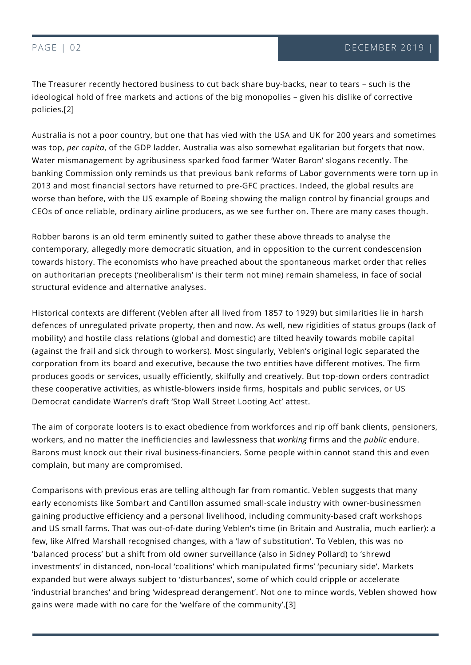The Treasurer recently hectored business to cut back share buy-backs, near to tears – such is the ideological hold of free markets and actions of the big monopolies – given his dislike of corrective policies.[2]

Australia is not a poor country, but one that has vied with the USA and UK for 200 years and sometimes was top, *per capita*, of the GDP ladder. Australia was also somewhat egalitarian but forgets that now. Water mismanagement by agribusiness sparked food farmer 'Water Baron' slogans recently. The banking Commission only reminds us that previous bank reforms of Labor governments were torn up in 2013 and most financial sectors have returned to pre-GFC practices. Indeed, the global results are worse than before, with the US example of Boeing showing the malign control by financial groups and CEOs of once reliable, ordinary airline producers, as we see further on. There are many cases though.

Robber barons is an old term eminently suited to gather these above threads to analyse the contemporary, allegedly more democratic situation, and in opposition to the current condescension towards history. The economists who have preached about the spontaneous market order that relies on authoritarian precepts ('neoliberalism' is their term not mine) remain shameless, in face of social structural evidence and alternative analyses.

Historical contexts are different (Veblen after all lived from 1857 to 1929) but similarities lie in harsh defences of unregulated private property, then and now. As well, new rigidities of status groups (lack of mobility) and hostile class relations (global and domestic) are tilted heavily towards mobile capital (against the frail and sick through to workers). Most singularly, Veblen's original logic separated the corporation from its board and executive, because the two entities have different motives. The firm produces goods or services, usually efficiently, skilfully and creatively. But top-down orders contradict these cooperative activities, as whistle-blowers inside firms, hospitals and public services, or US Democrat candidate Warren's draft 'Stop Wall Street Looting Act' attest.

The aim of corporate looters is to exact obedience from workforces and rip off bank clients, pensioners, workers, and no matter the inefficiencies and lawlessness that *working* firms and the *public* endure. Barons must knock out their rival business-financiers. Some people within cannot stand this and even complain, but many are compromised.

investments' in distanced, non-local 'coalitions' which manipulated firms' 'pecuniary side'. Marl<br>expanded but were always subject to 'disturbances', some of which could cripple or accelerate TODAY gains were made with no care for the 'welfare of the community'.[3] Comparisons with previous eras are telling although far from romantic. Veblen suggests that many early economists like Sombart and Cantillon assumed small-scale industry with owner-businessmen gaining productive efficiency and a personal livelihood, including community-based craft workshops and US small farms. That was out-of-date during Veblen's time (in Britain and Australia, much earlier): a few, like Alfred Marshall recognised changes, with a 'law of substitution'. To Veblen, this was no 'balanced process' but a shift from old owner surveillance (also in Sidney Pollard) to 'shrewd investments' in distanced, non-local 'coalitions' which manipulated firms' 'pecuniary side'. Markets 'industrial branches' and bring 'widespread derangement'. Not one to mince words, Veblen showed how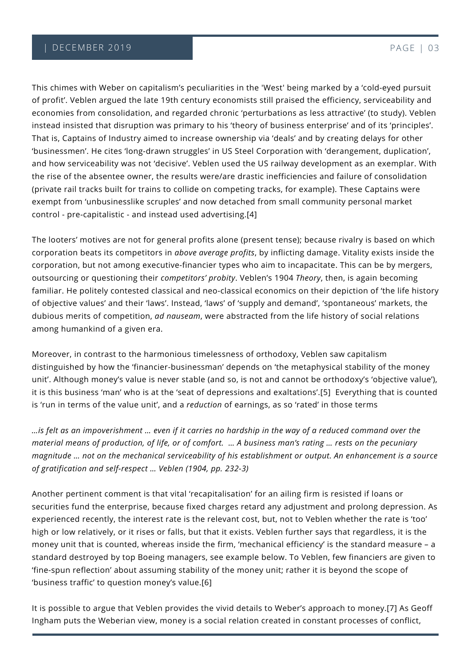This chimes with Weber on capitalism's peculiarities in the 'West' being marked by a 'cold-eyed pursuit of profit'. Veblen argued the late 19th century economists still praised the efficiency, serviceability and economies from consolidation, and regarded chronic 'perturbations as less attractive' (to study). Veblen instead insisted that disruption was primary to his 'theory of business enterprise' and of its 'principles'. That is, Captains of Industry aimed to increase ownership via 'deals' and by creating delays for other 'businessmen'. He cites 'long-drawn struggles' in US Steel Corporation with 'derangement, duplication', and how serviceability was not 'decisive'. Veblen used the US railway development as an exemplar. With the rise of the absentee owner, the results were/are drastic inefficiencies and failure of consolidation (private rail tracks built for trains to collide on competing tracks, for example). These Captains were exempt from 'unbusinesslike scruples' and now detached from small community personal market control - pre-capitalistic - and instead used advertising.[4]

The looters' motives are not for general profits alone (present tense); because rivalry is based on which corporation beats its competitors in *above average profits*, by inflicting damage. Vitality exists inside the corporation, but not among executive-financier types who aim to incapacitate. This can be by mergers, outsourcing or questioning their *competitors' probity*. Veblen's 1904 *Theory*, then, is again becoming familiar. He politely contested classical and neo-classical economics on their depiction of 'the life history of objective values' and their 'laws'. Instead, 'laws' of 'supply and demand', 'spontaneous' markets, the dubious merits of competition, *ad nauseam*, were abstracted from the life history of social relations among humankind of a given era.

Moreover, in contrast to the harmonious timelessness of orthodoxy, Veblen saw capitalism distinguished by how the 'financier-businessman' depends on 'the metaphysical stability of the money unit'. Although money's value is never stable (and so, is not and cannot be orthodoxy's 'objective value'), it is this business 'man' who is at the 'seat of depressions and exaltations'.[5] Everything that is counted is 'run in terms of the value unit', and a *reduction* of earnings, as so 'rated' in those terms

*…is felt as an impoverishment … even if it carries no hardship in the way of a reduced command over the material means of production, of life, or of comfort. … A business man's rating … rests on the pecuniary magnitude … not on the mechanical serviceability of his establishment or output. An enhancement is a source of gratification and self-respect … Veblen (1904, pp. 232-3)*

Another pertinent comment is that vital 'recapitalisation' for an ailing firm is resisted if loans or securities fund the enterprise, because fixed charges retard any adjustment and prolong depression. As experienced recently, the interest rate is the relevant cost, but, not to Veblen whether the rate is 'too' high or low relatively, or it rises or falls, but that it exists. Veblen further says that regardless, it is the money unit that is counted, whereas inside the firm, 'mechanical efficiency' is the standard measure – a standard destroyed by top Boeing managers, see example below. To Veblen, few financiers are given to 'fine-spun reflection' about assuming stability of the money unit; rather it is beyond the scope of 'business traffic' to question money's value.[6]

It is possible to argue that Veblen provides the vivid details to Weber's approach to money.[7] As Geoff Ingham puts the Weberian view, money is a social relation created in constant processes of conflict,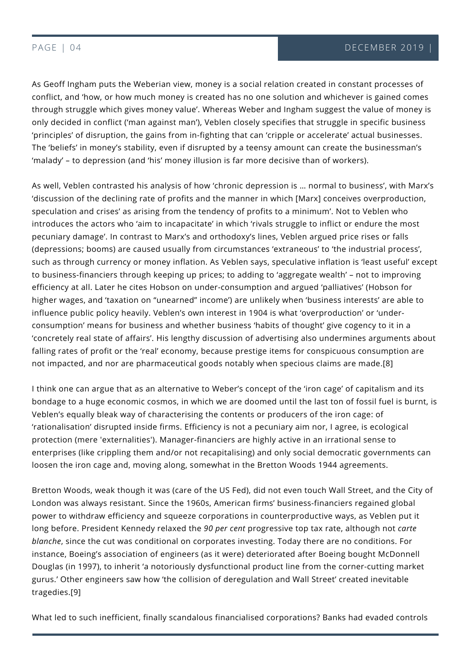As Geoff Ingham puts the Weberian view, money is a social relation created in constant processes of conflict, and 'how, or how much money is created has no one solution and whichever is gained comes through struggle which gives money value'. Whereas Weber and Ingham suggest the value of money is only decided in conflict ('man against man'), Veblen closely specifies that struggle in specific business 'principles' of disruption, the gains from in-fighting that can 'cripple or accelerate' actual businesses. The 'beliefs' in money's stability, even if disrupted by a teensy amount can create the businessman's 'malady' – to depression (and 'his' money illusion is far more decisive than of workers).

As well, Veblen contrasted his analysis of how 'chronic depression is … normal to business', with Marx's 'discussion of the declining rate of profits and the manner in which [Marx] conceives overproduction, speculation and crises' as arising from the tendency of profits to a minimum'. Not to Veblen who introduces the actors who 'aim to incapacitate' in which 'rivals struggle to inflict or endure the most pecuniary damage'. In contrast to Marx's and orthodoxy's lines, Veblen argued price rises or falls (depressions; booms) are caused usually from circumstances 'extraneous' to 'the industrial process', such as through currency or money inflation. As Veblen says, speculative inflation is 'least useful' except to business-financiers through keeping up prices; to adding to 'aggregate wealth' – not to improving efficiency at all. Later he cites Hobson on under-consumption and argued 'palliatives' (Hobson for higher wages, and 'taxation on "unearned" income') are unlikely when 'business interests' are able to influence public policy heavily. Veblen's own interest in 1904 is what 'overproduction' or 'underconsumption' means for business and whether business 'habits of thought' give cogency to it in a 'concretely real state of affairs'. His lengthy discussion of advertising also undermines arguments about falling rates of profit or the 'real' economy, because prestige items for conspicuous consumption are not impacted, and nor are pharmaceutical goods notably when specious claims are made.[8]

I think one can argue that as an alternative to Weber's concept of the 'iron cage' of capitalism and its bondage to a huge economic cosmos, in which we are doomed until the last ton of fossil fuel is burnt, is Veblen's equally bleak way of characterising the contents or producers of the iron cage: of 'rationalisation' disrupted inside firms. Efficiency is not a pecuniary aim nor, I agree, is ecological protection (mere 'externalities'). Manager-financiers are highly active in an irrational sense to enterprises (like crippling them and/or not recapitalising) and only social democratic governments can loosen the iron cage and, moving along, somewhat in the Bretton Woods 1944 agreements.

Douglas (in 1997), to inherit 'a notoriously dysfunctional product line from the corner-cutting ma<br>gurus.' Other engineers saw how 'the collision of deregulation and Wall Street' created inevitable Bretton Woods, weak though it was (care of the US Fed), did not even touch Wall Street, and the City of London was always resistant. Since the 1960s, American firms' business-financiers regained global power to withdraw efficiency and squeeze corporations in counterproductive ways, as Veblen put it long before. President Kennedy relaxed the *90 per cent* progressive top tax rate, although not *carte blanche*, since the cut was conditional on corporates investing. Today there are no conditions. For instance, Boeing's association of engineers (as it were) deteriorated after Boeing bought McDonnell Douglas (in 1997), to inherit 'a notoriously dysfunctional product line from the corner-cutting market tragedies.[9]

What led to such inefficient, finally scandalous financialised corporations? Banks had evaded controls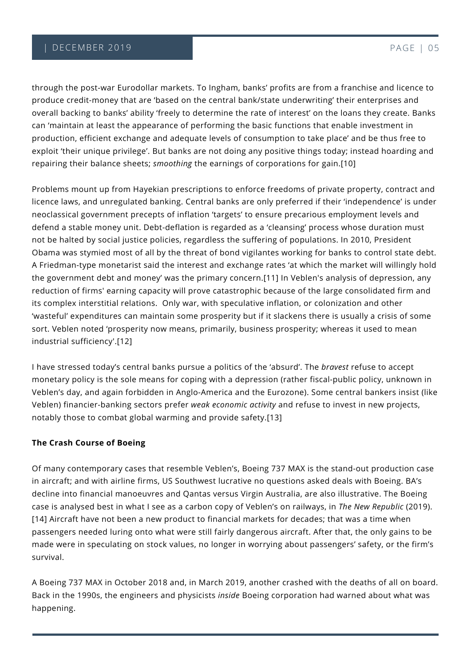### | DECEMBER 2019 PAGE | 05

through the post-war Eurodollar markets. To Ingham, banks' profits are from a franchise and licence to produce credit-money that are 'based on the central bank/state underwriting' their enterprises and overall backing to banks' ability 'freely to determine the rate of interest' on the loans they create. Banks can 'maintain at least the appearance of performing the basic functions that enable investment in production, efficient exchange and adequate levels of consumption to take place' and be thus free to exploit 'their unique privilege'. But banks are not doing any positive things today; instead hoarding and repairing their balance sheets; *smoothing* the earnings of corporations for gain.[10]

Problems mount up from Hayekian prescriptions to enforce freedoms of private property, contract and licence laws, and unregulated banking. Central banks are only preferred if their 'independence' is under neoclassical government precepts of inflation 'targets' to ensure precarious employment levels and defend a stable money unit. Debt-deflation is regarded as a 'cleansing' process whose duration must not be halted by social justice policies, regardless the suffering of populations. In 2010, President Obama was stymied most of all by the threat of bond vigilantes working for banks to control state debt. A Friedman-type monetarist said the interest and exchange rates 'at which the market will willingly hold the government debt and money' was the primary concern.[11] In Veblen's analysis of depression, any reduction of firms' earning capacity will prove catastrophic because of the large consolidated firm and its complex interstitial relations. Only war, with speculative inflation, or colonization and other 'wasteful' expenditures can maintain some prosperity but if it slackens there is usually a crisis of some sort. Veblen noted 'prosperity now means, primarily, business prosperity; whereas it used to mean industrial sufficiency'.[12]

I have stressed today's central banks pursue a politics of the 'absurd'. The *bravest* refuse to accept monetary policy is the sole means for coping with a depression (rather fiscal-public policy, unknown in Veblen's day, and again forbidden in Anglo-America and the Eurozone). Some central bankers insist (like Veblen) financier-banking sectors prefer *weak economic activity* and refuse to invest in new projects, notably those to combat global warming and provide safety.[13]

### **The Crash Course of Boeing**

Of many contemporary cases that resemble Veblen's, Boeing 737 MAX is the stand-out production case in aircraft; and with airline firms, US Southwest lucrative no questions asked deals with Boeing. BA's decline into financial manoeuvres and Qantas versus Virgin Australia, are also illustrative. The Boeing case is analysed best in what I see as a carbon copy of Veblen's on railways, in *The New Republic* (2019). [14] Aircraft have not been a new product to financial markets for decades; that was a time when passengers needed luring onto what were still fairly dangerous aircraft. After that, the only gains to be made were in speculating on stock values, no longer in worrying about passengers' safety, or the firm's survival.

A Boeing 737 MAX in October 2018 and, in March 2019, another crashed with the deaths of all on board. Back in the 1990s, the engineers and physicists *inside* Boeing corporation had warned about what was happening.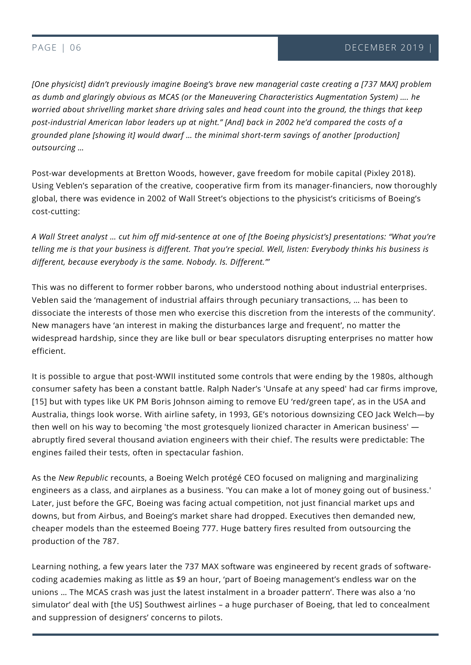*[One physicist] didn't previously imagine Boeing's brave new managerial caste creating a [737 MAX] problem as dumb and glaringly obvious as MCAS (or the Maneuvering Characteristics Augmentation System) …. he worried about shrivelling market share driving sales and head count into the ground, the things that keep post-industrial American labor leaders up at night." [And] back in 2002 he'd compared the costs of a grounded plane [showing it] would dwarf … the minimal short-term savings of another [production] outsourcing …* 

Post-war developments at Bretton Woods, however, gave freedom for mobile capital (Pixley 2018). Using Veblen's separation of the creative, cooperative firm from its manager-financiers, now thoroughly global, there was evidence in 2002 of Wall Street's objections to the physicist's criticisms of Boeing's cost-cutting:

*A Wall Street analyst … cut him off mid-sentence at one of [the Boeing physicist's] presentations: "What you're telling me is that your business is different. That you're special. Well, listen: Everybody thinks his business is different, because everybody is the same. Nobody. Is. Different."'*

This was no different to former robber barons, who understood nothing about industrial enterprises. Veblen said the 'management of industrial affairs through pecuniary transactions, … has been to dissociate the interests of those men who exercise this discretion from the interests of the community'. New managers have 'an interest in making the disturbances large and frequent', no matter the widespread hardship, since they are like bull or bear speculators disrupting enterprises no matter how efficient.

It is possible to argue that post-WWII instituted some controls that were ending by the 1980s, although consumer safety has been a constant battle. Ralph Nader's 'Unsafe at any speed' had car firms improve, [15] but with types like UK PM Boris Johnson aiming to remove EU 'red/green tape', as in the USA and Australia, things look worse. With airline safety, in 1993, GE's notorious downsizing CEO Jack Welch—by then well on his way to becoming 'the most grotesquely lionized character in American business' abruptly fired several thousand aviation engineers with their chief. The results were predictable: The engines failed their tests, often in spectacular fashion.

As the *New Republic* recounts, a Boeing Welch protégé CEO focused on maligning and marginalizing engineers as a class, and airplanes as a business. 'You can make a lot of money going out of business.' Later, just before the GFC, Boeing was facing actual competition, not just financial market ups and downs, but from Airbus, and Boeing's market share had dropped. Executives then demanded new, cheaper models than the esteemed Boeing 777. Huge battery fires resulted from outsourcing the production of the 787.

Learning nothing, a few years later the 737 MAX software was engineered by recent grads of softw<br>coding academies making as little as \$9 an hour, 'part of Boeing management's endless war on the TODAY simulator' deal with [the US] Southwest airlines – a huge purchaser of Boeing, that led to concealment Learning nothing, a few years later the 737 MAX software was engineered by recent grads of softwareunions … The MCAS crash was just the latest instalment in a broader pattern'. There was also a 'no and suppression of designers' concerns to pilots.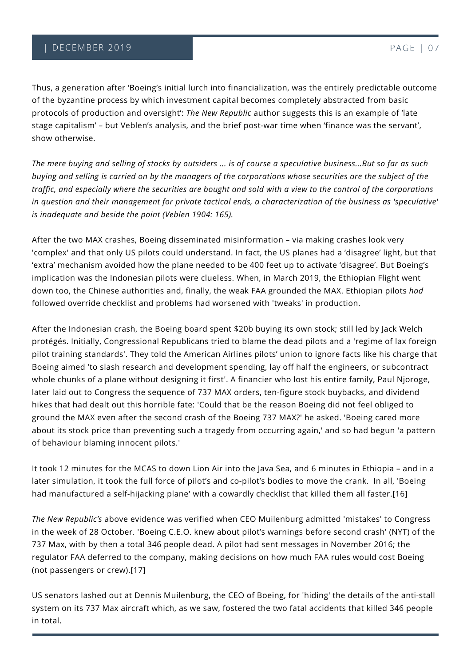Thus, a generation after 'Boeing's initial lurch into financialization, was the entirely predictable outcome of the byzantine process by which investment capital becomes completely abstracted from basic protocols of production and oversight': *The New Republic* author suggests this is an example of 'late stage capitalism' – but Veblen's analysis, and the brief post-war time when 'finance was the servant', show otherwise.

*The mere buying and selling of stocks by outsiders ... is of course a speculative business...But so far as such buying and selling is carried on by the managers of the corporations whose securities are the subject of the traffic, and especially where the securities are bought and sold with a view to the control of the corporations in question and their management for private tactical ends, a characterization of the business as 'speculative' is inadequate and beside the point (Veblen 1904: 165).*

After the two MAX crashes, Boeing disseminated misinformation – via making crashes look very 'complex' and that only US pilots could understand. In fact, the US planes had a 'disagree' light, but that 'extra' mechanism avoided how the plane needed to be 400 feet up to activate 'disagree'. But Boeing's implication was the Indonesian pilots were clueless. When, in March 2019, the Ethiopian Flight went down too, the Chinese authorities and, finally, the weak FAA grounded the MAX. Ethiopian pilots *had* followed override checklist and problems had worsened with 'tweaks' in production.

After the Indonesian crash, the Boeing board spent \$20b buying its own stock; still led by Jack Welch protégés. Initially, Congressional Republicans tried to blame the dead pilots and a 'regime of lax foreign pilot training standards'. They told the American Airlines pilots' union to ignore facts like his charge that Boeing aimed 'to slash research and development spending, lay off half the engineers, or subcontract whole chunks of a plane without designing it first'. A financier who lost his entire family, Paul Njoroge, later laid out to Congress the sequence of 737 MAX orders, ten-figure stock buybacks, and dividend hikes that had dealt out this horrible fate: 'Could that be the reason Boeing did not feel obliged to ground the MAX even after the second crash of the Boeing 737 MAX?' he asked. 'Boeing cared more about its stock price than preventing such a tragedy from occurring again,' and so had begun 'a pattern of behaviour blaming innocent pilots.'

It took 12 minutes for the MCAS to down Lion Air into the Java Sea, and 6 minutes in Ethiopia – and in a later simulation, it took the full force of pilot's and co-pilot's bodies to move the crank. In all, 'Boeing had manufactured a self-hijacking plane' with a cowardly checklist that killed them all faster.[16]

*The New Republic's* above evidence was verified when CEO Muilenburg admitted 'mistakes' to Congress in the week of 28 October. 'Boeing C.E.O. knew about pilot's warnings before second crash' (NYT) of the 737 Max, with by then a total 346 people dead. A pilot had sent messages in November 2016; the regulator FAA deferred to the company, making decisions on how much FAA rules would cost Boeing (not passengers or crew).[17]

US senators lashed out at Dennis Muilenburg, the CEO of Boeing, for 'hiding' the details of the anti-stall system on its 737 Max aircraft which, as we saw, fostered the two fatal accidents that killed 346 people in total.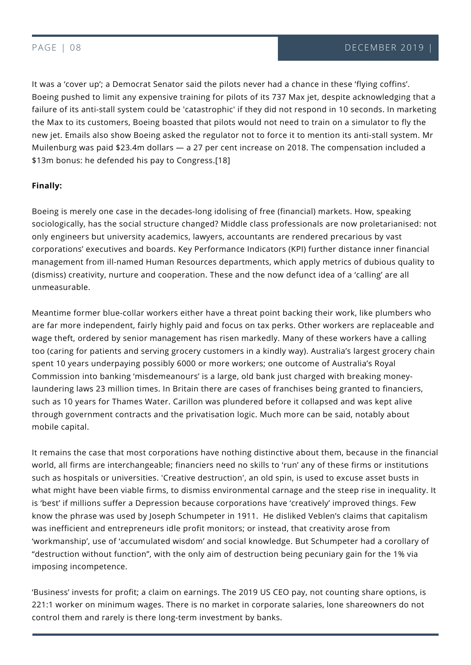It was a 'cover up'; a Democrat Senator said the pilots never had a chance in these 'flying coffins'. Boeing pushed to limit any expensive training for pilots of its 737 Max jet, despite acknowledging that a failure of its anti-stall system could be 'catastrophic' if they did not respond in 10 seconds. In marketing the Max to its customers, Boeing boasted that pilots would not need to train on a simulator to fly the new jet. Emails also show Boeing asked the regulator not to force it to mention its anti-stall system. Mr Muilenburg was paid \$23.4m dollars — a 27 per cent increase on 2018. The compensation included a \$13m bonus: he defended his pay to Congress.[18]

### **Finally:**

Boeing is merely one case in the decades-long idolising of free (financial) markets. How, speaking sociologically, has the social structure changed? Middle class professionals are now proletarianised: not only engineers but university academics, lawyers, accountants are rendered precarious by vast corporations' executives and boards. Key Performance Indicators (KPI) further distance inner financial management from ill-named Human Resources departments, which apply metrics of dubious quality to (dismiss) creativity, nurture and cooperation. These and the now defunct idea of a 'calling' are all unmeasurable.

Meantime former blue-collar workers either have a threat point backing their work, like plumbers who are far more independent, fairly highly paid and focus on tax perks. Other workers are replaceable and wage theft, ordered by senior management has risen markedly. Many of these workers have a calling too (caring for patients and serving grocery customers in a kindly way). Australia's largest grocery chain spent 10 years underpaying possibly 6000 or more workers; one outcome of Australia's Royal Commission into banking 'misdemeanours' is a large, old bank just charged with breaking moneylaundering laws 23 million times. In Britain there are cases of franchises being granted to financiers, such as 10 years for Thames Water. Carillon was plundered before it collapsed and was kept alive through government contracts and the privatisation logic. Much more can be said, notably about mobile capital.

imposing incompetence. It remains the case that most corporations have nothing distinctive about them, because in the financial world, all firms are interchangeable; financiers need no skills to 'run' any of these firms or institutions such as hospitals or universities. 'Creative destruction', an old spin, is used to excuse asset busts in what might have been viable firms, to dismiss environmental carnage and the steep rise in inequality. It is 'best' if millions suffer a Depression because corporations have 'creatively' improved things. Few know the phrase was used by Joseph Schumpeter in 1911. He disliked Veblen's claims that capitalism was inefficient and entrepreneurs idle profit monitors; or instead, that creativity arose from 'workmanship', use of 'accumulated wisdom' and social knowledge. But Schumpeter had a corollary of "destruction without function", with the only aim of destruction being pecuniary gain for the 1% via

221:1 worker on minimum wages. There is no market in corporate salaries, lone shareowners do not control them and rarely is there long-term investment by banks. 'Business' invests for profit; a claim on earnings. The 2019 US CEO pay, not counting share options, is control them and rarely is there long-term investment by banks.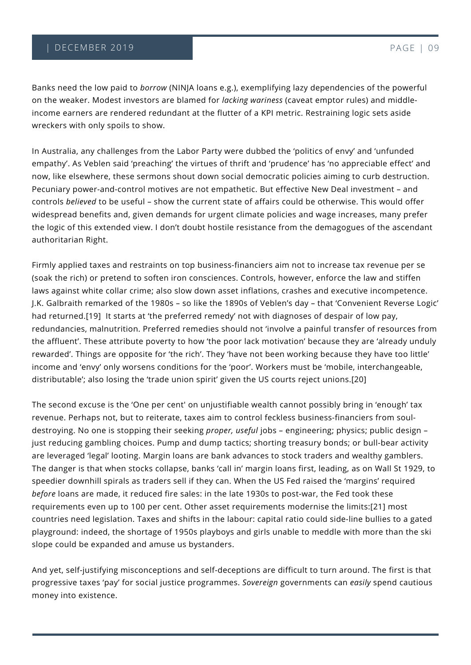Banks need the low paid to *borrow* (NINJA loans e.g.), exemplifying lazy dependencies of the powerful on the weaker. Modest investors are blamed for *lacking wariness* (caveat emptor rules) and middleincome earners are rendered redundant at the flutter of a KPI metric. Restraining logic sets aside wreckers with only spoils to show.

In Australia, any challenges from the Labor Party were dubbed the 'politics of envy' and 'unfunded empathy'. As Veblen said 'preaching' the virtues of thrift and 'prudence' has 'no appreciable effect' and now, like elsewhere, these sermons shout down social democratic policies aiming to curb destruction. Pecuniary power-and-control motives are not empathetic. But effective New Deal investment – and controls *believed* to be useful – show the current state of affairs could be otherwise. This would offer widespread benefits and, given demands for urgent climate policies and wage increases, many prefer the logic of this extended view. I don't doubt hostile resistance from the demagogues of the ascendant authoritarian Right.

Firmly applied taxes and restraints on top business-financiers aim not to increase tax revenue per se (soak the rich) or pretend to soften iron consciences. Controls, however, enforce the law and stiffen laws against white collar crime; also slow down asset inflations, crashes and executive incompetence. J.K. Galbraith remarked of the 1980s – so like the 1890s of Veblen's day – that 'Convenient Reverse Logic' had returned.[19] It starts at 'the preferred remedy' not with diagnoses of despair of low pay, redundancies, malnutrition. Preferred remedies should not 'involve a painful transfer of resources from the affluent'. These attribute poverty to how 'the poor lack motivation' because they are 'already unduly rewarded'. Things are opposite for 'the rich'. They 'have not been working because they have too little' income and 'envy' only worsens conditions for the 'poor'. Workers must be 'mobile, interchangeable, distributable'; also losing the 'trade union spirit' given the US courts reject unions.[20]

The second excuse is the 'One per cent' on unjustifiable wealth cannot possibly bring in 'enough' tax revenue. Perhaps not, but to reiterate, taxes aim to control feckless business-financiers from souldestroying. No one is stopping their seeking *proper, useful* jobs – engineering; physics; public design – just reducing gambling choices. Pump and dump tactics; shorting treasury bonds; or bull-bear activity are leveraged 'legal' looting. Margin loans are bank advances to stock traders and wealthy gamblers. The danger is that when stocks collapse, banks 'call in' margin loans first, leading, as on Wall St 1929, to speedier downhill spirals as traders sell if they can. When the US Fed raised the 'margins' required *before* loans are made, it reduced fire sales: in the late 1930s to post-war, the Fed took these requirements even up to 100 per cent. Other asset requirements modernise the limits:[21] most countries need legislation. Taxes and shifts in the labour: capital ratio could side-line bullies to a gated playground: indeed, the shortage of 1950s playboys and girls unable to meddle with more than the ski slope could be expanded and amuse us bystanders.

And yet, self-justifying misconceptions and self-deceptions are difficult to turn around. The first is that progressive taxes 'pay' for social justice programmes. *Sovereign* governments can *easily* spend cautious money into existence.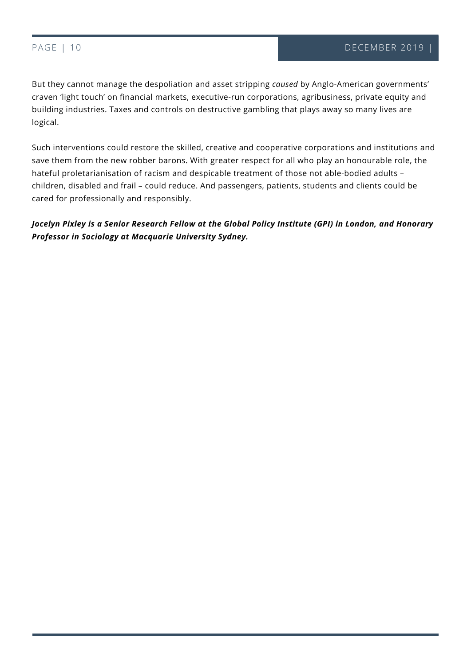TODAY

But they cannot manage the despoliation and asset stripping *caused* by Anglo-American governments' craven 'light touch' on financial markets, executive-run corporations, agribusiness, private equity and building industries. Taxes and controls on destructive gambling that plays away so many lives are logical.

Such interventions could restore the skilled, creative and cooperative corporations and institutions and save them from the new robber barons. With greater respect for all who play an honourable role, the hateful proletarianisation of racism and despicable treatment of those not able-bodied adults – children, disabled and frail – could reduce. And passengers, patients, students and clients could be cared for professionally and responsibly.

*Jocelyn Pixley is a Senior Research Fellow at the Global Policy Institute (GPI) in London, and Honorary Professor in Sociology at Macquarie University Sydney.*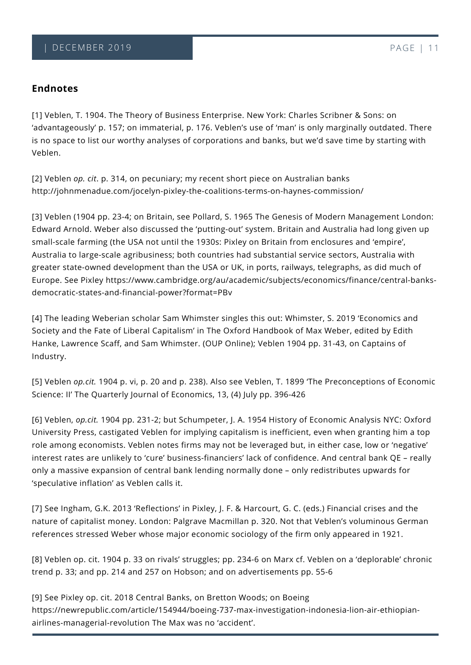## **Endnotes**

[1] Veblen, T. 1904. The Theory of Business Enterprise. New York: Charles Scribner & Sons: on 'advantageously' p. 157; on immaterial, p. 176. Veblen's use of 'man' is only marginally outdated. There is no space to list our worthy analyses of corporations and banks, but we'd save time by starting with Veblen.

[2] Veblen *op. cit*. p. 314, on pecuniary; my recent short piece on Australian banks http://johnmenadue.com/jocelyn-pixley-the-coalitions-terms-on-haynes-commission/

[3] Veblen (1904 pp. 23-4; on Britain, see Pollard, S. 1965 The Genesis of Modern Management London: Edward Arnold. Weber also discussed the 'putting-out' system. Britain and Australia had long given up small-scale farming (the USA not until the 1930s: Pixley on Britain from enclosures and 'empire', Australia to large-scale agribusiness; both countries had substantial service sectors, Australia with greater state-owned development than the USA or UK, in ports, railways, telegraphs, as did much of Europe. See Pixley https://www.cambridge.org/au/academic/subjects/economics/finance/central-banksdemocratic-states-and-financial-power?format=PBv

[4] The leading Weberian scholar Sam Whimster singles this out: Whimster, S. 2019 'Economics and Society and the Fate of Liberal Capitalism' in The Oxford Handbook of Max Weber, edited by Edith Hanke, Lawrence Scaff, and Sam Whimster. (OUP Online); Veblen 1904 pp. 31-43, on Captains of Industry.

[5] Veblen *op.cit.* 1904 p. vi, p. 20 and p. 238). Also see Veblen, T. 1899 'The Preconceptions of Economic Science: II' The Quarterly Journal of Economics, 13, (4) July pp. 396-426

[6] Veblen, *op.cit.* 1904 pp. 231-2; but Schumpeter, J. A. 1954 History of Economic Analysis NYC: Oxford University Press, castigated Veblen for implying capitalism is inefficient, even when granting him a top role among economists. Veblen notes firms may not be leveraged but, in either case, low or 'negative' interest rates are unlikely to 'cure' business-financiers' lack of confidence. And central bank QE – really only a massive expansion of central bank lending normally done – only redistributes upwards for 'speculative inflation' as Veblen calls it.

[7] See Ingham, G.K. 2013 'Reflections' in Pixley, J. F. & Harcourt, G. C. (eds.) Financial crises and the nature of capitalist money. London: Palgrave Macmillan p. 320. Not that Veblen's voluminous German references stressed Weber whose major economic sociology of the firm only appeared in 1921.

[8] Veblen op. cit. 1904 p. 33 on rivals' struggles; pp. 234-6 on Marx cf. Veblen on a 'deplorable' chronic trend p. 33; and pp. 214 and 257 on Hobson; and on advertisements pp. 55-6

[9] See Pixley op. cit. 2018 Central Banks, on Bretton Woods; on Boeing https://newrepublic.com/article/154944/boeing-737-max-investigation-indonesia-lion-air-ethiopianairlines-managerial-revolution The Max was no 'accident'.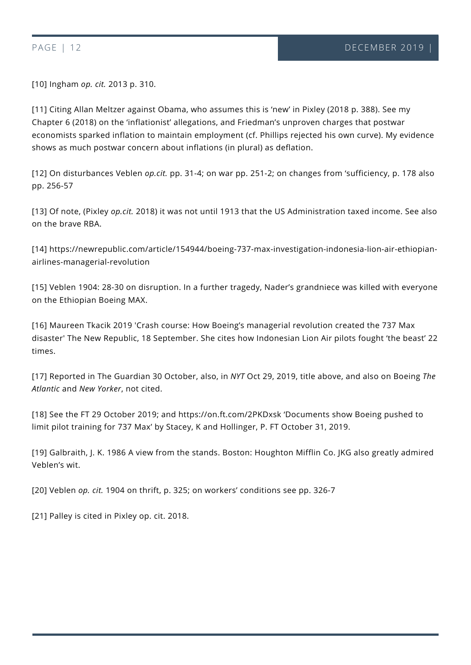[10] Ingham *op. cit.* 2013 p. 310.

[11] Citing Allan Meltzer against Obama, who assumes this is 'new' in Pixley (2018 p. 388). See my Chapter 6 (2018) on the 'inflationist' allegations, and Friedman's unproven charges that postwar economists sparked inflation to maintain employment (cf. Phillips rejected his own curve). My evidence shows as much postwar concern about inflations (in plural) as deflation.

[12] On disturbances Veblen *op.cit.* pp. 31-4; on war pp. 251-2; on changes from 'sufficiency, p. 178 also pp. 256-57

[13] Of note, (Pixley *op.cit.* 2018) it was not until 1913 that the US Administration taxed income. See also on the brave RBA.

[14] https://newrepublic.com/article/154944/boeing-737-max-investigation-indonesia-lion-air-ethiopianairlines-managerial-revolution

[15] Veblen 1904: 28-30 on disruption. In a further tragedy, Nader's grandniece was killed with everyone on the Ethiopian Boeing MAX.

[16] Maureen Tkacik 2019 'Crash course: How Boeing's managerial revolution created the 737 Max disaster' The New Republic, 18 September. She cites how Indonesian Lion Air pilots fought 'the beast' 22 times.

[17] Reported in The Guardian 30 October, also, in *NYT* Oct 29, 2019, title above, and also on Boeing *The Atlantic* and *New Yorker*, not cited.

[18] See the FT 29 October 2019; and https://on.ft.com/2PKDxsk 'Documents show Boeing pushed to limit pilot training for 737 Max' by Stacey, K and Hollinger, P. FT October 31, 2019.

[19] Galbraith, J. K. 1986 A view from the stands. Boston: Houghton Mifflin Co. JKG also greatly admired Veblen's wit.

[20] Veblen *op. cit.* 1904 on thrift, p. 325; on workers' conditions see pp. 326-7

[21] Palley is cited in Pixley op. cit. 2018.

TODAY